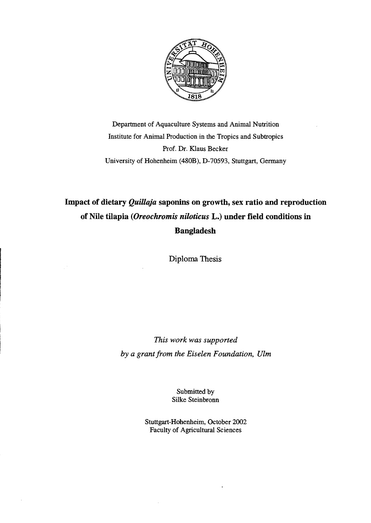

Department of Aquaeulture Systems and Animal Nutrition Institute for Animal Produetion in the Tropics and Subtropics Prof. Dr. Klaus Beeker University of Hohenheim (480B), D-70593, Stuttgart, Gennany

## **Impact of dietary** *QuiUaja* **saponins on growth, sex ratio and reproduction of Nile tilapia** *(Oreochromis niloticus* **L.) under fjeld conditions in Bangladesh**

Diploma Thesis

*This work was supported* by *a grant from the Eiselen F oundation, Ulm* 

> Submitted by Silke Steinbronn

Stuttgart-Hohenheim, Oetober 2002 Faeulty of Agrieultural Seienees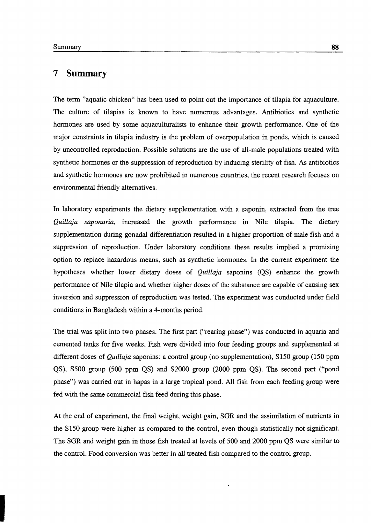## **7 Summary**

The tenn "aquatic chicken" has been used to point out the importance of tilapia for aquaculture. The culture of tilapias is known to have numerous advantages. Antibiotics and synthetic hormones are used by some aquaculturalists to enhance their growth performance. One of the major constraints in tilapia industry is the problem of overpopulation in ponds, which is caused by uncontrolled reproduction. Possible solutions are the use of all-male populations treated with synthetic hormones or the suppression of reproduction by inducing sterility of fish. As antibiotics and synthetic honnones are now prohibited in numerous countries, the recent research focuses on environmental friendly alternatives.

In laboratory experiments the dietary supplementation with a saponin, extracted from the tree *Quillaja saponaria*, increased the growth performance in Nile tilapia. The dietary supplementation during gonadal differentiation resulted in a higher proportion of male fish and a suppression of reproduction. Under laboratory conditions these results implied a promising option to replace hazardous means, such as synthetic honnones. In the current experiment the hypotheses whether lower dietary doses of *Quillaja* saponins (QS) enhance the growth perfonnance of Nile tilapia and whether higher doses of the substance are capable of causing sex inversion and suppression of reproduction was tested. The experiment was conducted under field conditions in Bangladesh within a 4-months period.

The trial was split into two phases. The first part ("rearing phase") was conducted in aquaria and cemented tanks for five weeks. Fish were divided into four feeding groups and supplemented at different doses of *Quillaja* saponins: a control group (no supplementation), S150 group (150 ppm QS), S500 group (500 ppm QS) and S2000 group (2000 ppm QS). The second part ("pond phase") was carried out in hapas in a large tropical pond. All fish from each feeding group were fed with the same commercial fish feed during this phase.

At the end of experiment, the final weight, weight gain, SOR and the assimilation of nutrients in the S150 group were higher as compared to the control, even though statistically not significant. The SOR and weight gain in those fish treated at levels of 500 and 2000 ppm QS were similar to the control. Food conversion was better in all treated fish compared to the control group.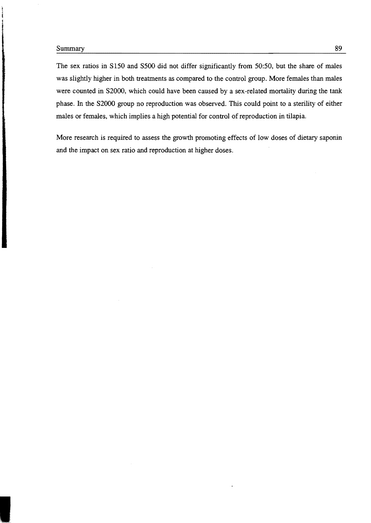The sex ratios in S150 and S500 did not differ significantly from 50:50, but the share of males was slightly higher in both treatments as compared to the control group. More females than males were counted in S2000, which could have been caused by a sex-related mortality during the tank phase. In the S2000 group no reproduction was observed. This could point to a sterility of either males or females, which implies a high potential for control of reproduction in tilapia.

More research is required to assess the growth promoting effects of low doses of dietary saponin and the impact on sex ratio and reproduction at higher doses.